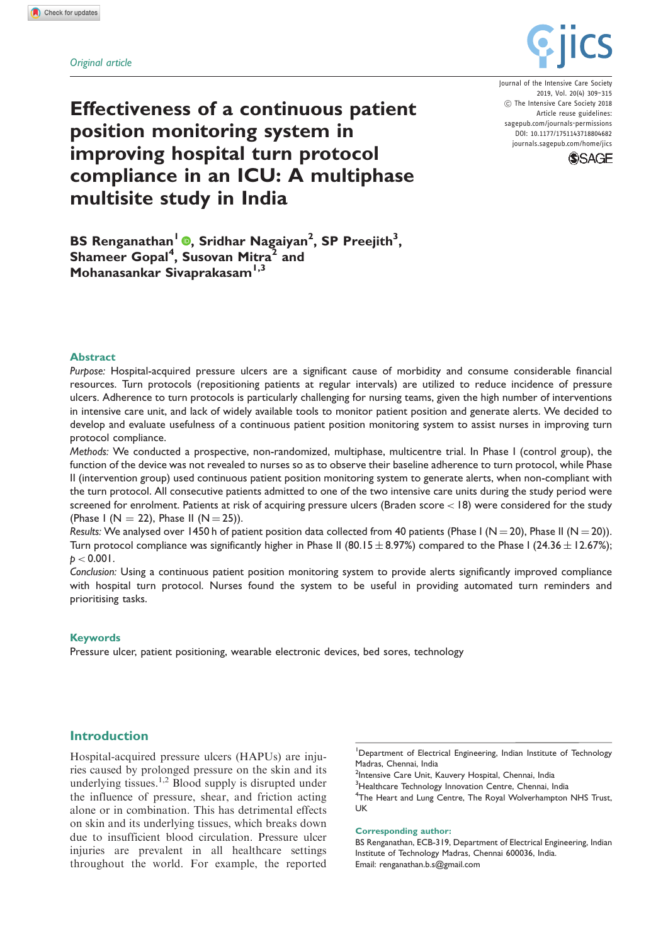

Journal of the Intensive Care Society 2019, Vol. 20(4) 309–315 (C) The Intensive Care Society 2018 Article reuse guidelines: [sagepub.com/journals-permissions](https://uk.sagepub.com/en-gb/journals-permissions) DOI: [10.1177/1751143718804682](https://doi.org/10.1177/1751143718804682) <journals.sagepub.com/home/jics>



# Effectiveness of a continuous patient position monitoring system in improving hospital turn protocol compliance in an ICU: A multiphase multisite study in India

BS Renganathan<sup>1</sup> ®, Sridhar Nagaiyan<sup>2</sup>, SP Preejith<sup>3</sup>, Shameer Gopal<sup>4</sup>, Susovan Mitra<sup>2</sup> and Mohanasankar Sivaprakasam<sup>1,3</sup>

#### Abstract

Purpose: Hospital-acquired pressure ulcers are a significant cause of morbidity and consume considerable financial resources. Turn protocols (repositioning patients at regular intervals) are utilized to reduce incidence of pressure ulcers. Adherence to turn protocols is particularly challenging for nursing teams, given the high number of interventions in intensive care unit, and lack of widely available tools to monitor patient position and generate alerts. We decided to develop and evaluate usefulness of a continuous patient position monitoring system to assist nurses in improving turn protocol compliance.

Methods: We conducted a prospective, non-randomized, multiphase, multicentre trial. In Phase I (control group), the function of the device was not revealed to nurses so as to observe their baseline adherence to turn protocol, while Phase II (intervention group) used continuous patient position monitoring system to generate alerts, when non-compliant with the turn protocol. All consecutive patients admitted to one of the two intensive care units during the study period were screened for enrolment. Patients at risk of acquiring pressure ulcers (Braden score < 18) were considered for the study (Phase I (N = 22), Phase II (N = 25)).

Results: We analysed over 1450 h of patient position data collected from 40 patients (Phase I (N = 20), Phase II (N = 20)). Turn protocol compliance was significantly higher in Phase II (80.15  $\pm$  8.97%) compared to the Phase I (24.36  $\pm$  12.67%);  $p < 0.001$ .

Conclusion: Using a continuous patient position monitoring system to provide alerts significantly improved compliance with hospital turn protocol. Nurses found the system to be useful in providing automated turn reminders and prioritising tasks.

#### Keywords

Pressure ulcer, patient positioning, wearable electronic devices, bed sores, technology

# Introduction

Hospital-acquired pressure ulcers (HAPUs) are injuries caused by prolonged pressure on the skin and its underlying tissues.<sup>1,2</sup> Blood supply is disrupted under the influence of pressure, shear, and friction acting alone or in combination. This has detrimental effects on skin and its underlying tissues, which breaks down due to insufficient blood circulation. Pressure ulcer injuries are prevalent in all healthcare settings throughout the world. For example, the reported

<sup>1</sup>Department of Electrical Engineering, Indian Institute of Technology Madras, Chennai, India

<sup>2</sup>Intensive Care Unit, Kauvery Hospital, Chennai, India

<sup>3</sup>Healthcare Technology Innovation Centre, Chennai, India

<sup>4</sup>The Heart and Lung Centre, The Royal Wolverhampton NHS Trust, UK

#### Corresponding author:

BS Renganathan, ECB-319, Department of Electrical Engineering, Indian Institute of Technology Madras, Chennai 600036, India. Email: renganathan.b.s@gmail.com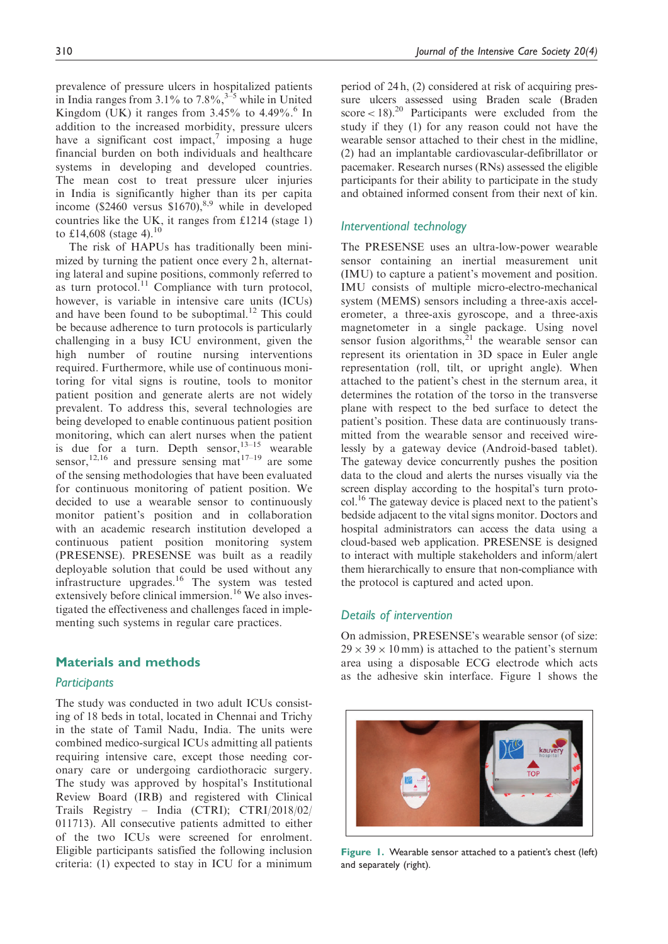prevalence of pressure ulcers in hospitalized patients in India ranges from  $3.1\%$  to  $7.8\%$ ,<sup>3–5</sup> while in United Kingdom (UK) it ranges from  $3.45\%$  to  $4.49\%$ .<sup>6</sup> In addition to the increased morbidity, pressure ulcers have a significant cost impact, $\bar{y}$  imposing a huge financial burden on both individuals and healthcare systems in developing and developed countries. The mean cost to treat pressure ulcer injuries in India is significantly higher than its per capita income (\$2460 versus  $$1670$ ),<sup>8,9</sup> while in developed countries like the UK, it ranges from £1214 (stage 1) to £14,608 (stage 4).<sup>10</sup>

The risk of HAPUs has traditionally been minimized by turning the patient once every 2 h, alternating lateral and supine positions, commonly referred to as turn protocol. $11$  Compliance with turn protocol, however, is variable in intensive care units (ICUs) and have been found to be suboptimal.<sup>12</sup> This could be because adherence to turn protocols is particularly challenging in a busy ICU environment, given the high number of routine nursing interventions required. Furthermore, while use of continuous monitoring for vital signs is routine, tools to monitor patient position and generate alerts are not widely prevalent. To address this, several technologies are being developed to enable continuous patient position monitoring, which can alert nurses when the patient is due for a turn. Depth sensor,  $13-15$  wearable sensor,<sup>12,16</sup> and pressure sensing mat<sup>17-19</sup> are some of the sensing methodologies that have been evaluated for continuous monitoring of patient position. We decided to use a wearable sensor to continuously monitor patient's position and in collaboration with an academic research institution developed a continuous patient position monitoring system (PRESENSE). PRESENSE was built as a readily deployable solution that could be used without any infrastructure upgrades. $16$  The system was tested extensively before clinical immersion.<sup>16</sup> We also investigated the effectiveness and challenges faced in implementing such systems in regular care practices.

# Materials and methods

### **Participants**

The study was conducted in two adult ICUs consisting of 18 beds in total, located in Chennai and Trichy in the state of Tamil Nadu, India. The units were combined medico-surgical ICUs admitting all patients requiring intensive care, except those needing coronary care or undergoing cardiothoracic surgery. The study was approved by hospital's Institutional Review Board (IRB) and registered with Clinical Trails Registry – India (CTRI); CTRI/2018/02/ 011713). All consecutive patients admitted to either of the two ICUs were screened for enrolment. Eligible participants satisfied the following inclusion criteria: (1) expected to stay in ICU for a minimum period of 24 h, (2) considered at risk of acquiring pressure ulcers assessed using Braden scale (Braden score < 18).<sup>20</sup> Participants were excluded from the study if they (1) for any reason could not have the wearable sensor attached to their chest in the midline, (2) had an implantable cardiovascular-defibrillator or pacemaker. Research nurses (RNs) assessed the eligible participants for their ability to participate in the study and obtained informed consent from their next of kin.

# Interventional technology

The PRESENSE uses an ultra-low-power wearable sensor containing an inertial measurement unit (IMU) to capture a patient's movement and position. IMU consists of multiple micro-electro-mechanical system (MEMS) sensors including a three-axis accelerometer, a three-axis gyroscope, and a three-axis magnetometer in a single package. Using novel sensor fusion algorithms, $2<sup>1</sup>$  the wearable sensor can represent its orientation in 3D space in Euler angle representation (roll, tilt, or upright angle). When attached to the patient's chest in the sternum area, it determines the rotation of the torso in the transverse plane with respect to the bed surface to detect the patient's position. These data are continuously transmitted from the wearable sensor and received wirelessly by a gateway device (Android-based tablet). The gateway device concurrently pushes the position data to the cloud and alerts the nurses visually via the screen display according to the hospital's turn protocol.16 The gateway device is placed next to the patient's bedside adjacent to the vital signs monitor. Doctors and hospital administrators can access the data using a cloud-based web application. PRESENSE is designed to interact with multiple stakeholders and inform/alert them hierarchically to ensure that non-compliance with the protocol is captured and acted upon.

#### Details of intervention

On admission, PRESENSE's wearable sensor (of size:  $29 \times 39 \times 10$  mm) is attached to the patient's sternum area using a disposable ECG electrode which acts as the adhesive skin interface. Figure 1 shows the



Figure 1. Wearable sensor attached to a patient's chest (left) and separately (right).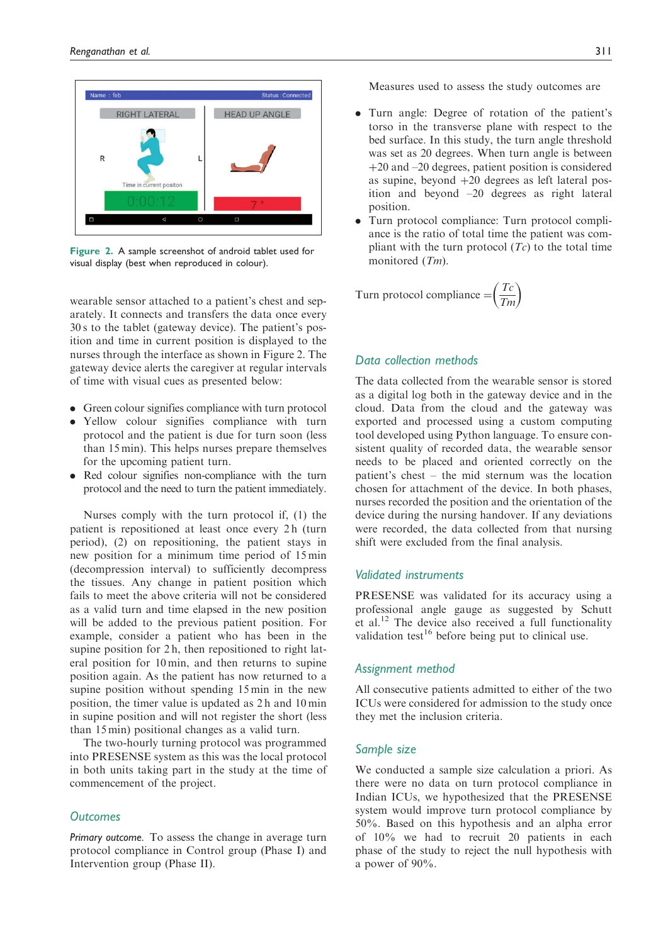

Figure 2. A sample screenshot of android tablet used for visual display (best when reproduced in colour).

wearable sensor attached to a patient's chest and separately. It connects and transfers the data once every 30 s to the tablet (gateway device). The patient's position and time in current position is displayed to the nurses through the interface as shown in Figure 2. The gateway device alerts the caregiver at regular intervals of time with visual cues as presented below:

- . Green colour signifies compliance with turn protocol
- . Yellow colour signifies compliance with turn protocol and the patient is due for turn soon (less than 15 min). This helps nurses prepare themselves for the upcoming patient turn.
- . Red colour signifies non-compliance with the turn protocol and the need to turn the patient immediately.

Nurses comply with the turn protocol if, (1) the patient is repositioned at least once every 2 h (turn period), (2) on repositioning, the patient stays in new position for a minimum time period of 15 min (decompression interval) to sufficiently decompress the tissues. Any change in patient position which fails to meet the above criteria will not be considered as a valid turn and time elapsed in the new position will be added to the previous patient position. For example, consider a patient who has been in the supine position for 2 h, then repositioned to right lateral position for 10 min, and then returns to supine position again. As the patient has now returned to a supine position without spending 15 min in the new position, the timer value is updated as 2 h and 10 min in supine position and will not register the short (less than 15 min) positional changes as a valid turn.

The two-hourly turning protocol was programmed into PRESENSE system as this was the local protocol in both units taking part in the study at the time of commencement of the project.

# **Outcomes**

Primary outcome. To assess the change in average turn protocol compliance in Control group (Phase I) and Intervention group (Phase II).

Measures used to assess the study outcomes are

- . Turn angle: Degree of rotation of the patient's torso in the transverse plane with respect to the bed surface. In this study, the turn angle threshold was set as 20 degrees. When turn angle is between  $+20$  and  $-20$  degrees, patient position is considered as supine, beyond  $+20$  degrees as left lateral position and beyond –20 degrees as right lateral position.
- . Turn protocol compliance: Turn protocol compliance is the ratio of total time the patient was compliant with the turn protocol  $(T_c)$  to the total time monitored (Tm).

Turn protocol compliance  $=$   $\left(\frac{Tc}{Tm}\right)$ 

# Data collection methods

The data collected from the wearable sensor is stored as a digital log both in the gateway device and in the cloud. Data from the cloud and the gateway was exported and processed using a custom computing tool developed using Python language. To ensure consistent quality of recorded data, the wearable sensor needs to be placed and oriented correctly on the patient's chest – the mid sternum was the location chosen for attachment of the device. In both phases, nurses recorded the position and the orientation of the device during the nursing handover. If any deviations were recorded, the data collected from that nursing shift were excluded from the final analysis.

### Validated instruments

PRESENSE was validated for its accuracy using a professional angle gauge as suggested by Schutt et al.<sup>12</sup> The device also received a full functionality validation test<sup>16</sup> before being put to clinical use.

### Assignment method

All consecutive patients admitted to either of the two ICUs were considered for admission to the study once they met the inclusion criteria.

# Sample size

We conducted a sample size calculation a priori. As there were no data on turn protocol compliance in Indian ICUs, we hypothesized that the PRESENSE system would improve turn protocol compliance by 50%. Based on this hypothesis and an alpha error of 10% we had to recruit 20 patients in each phase of the study to reject the null hypothesis with a power of 90%.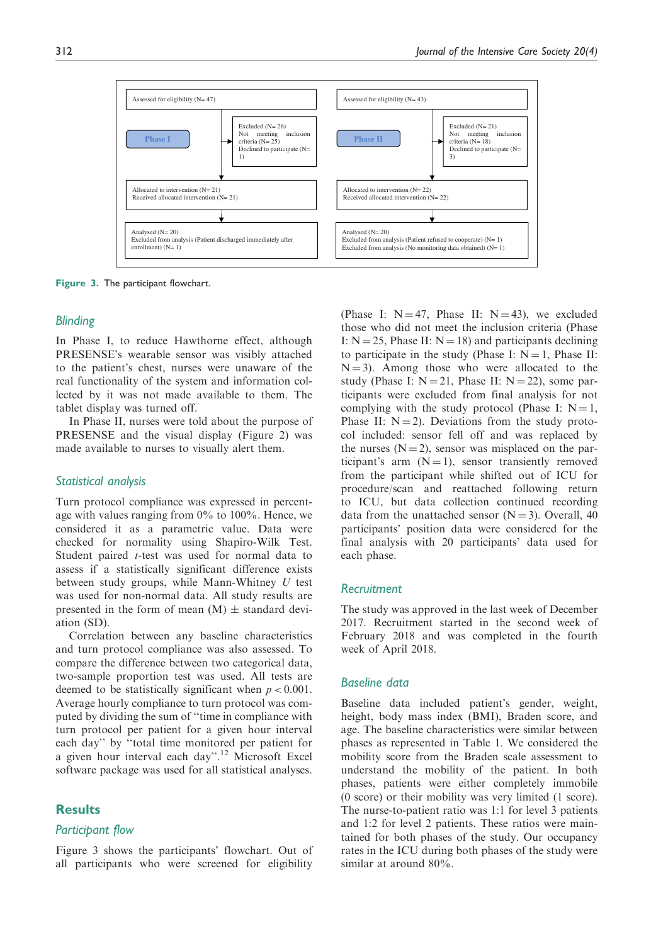

Figure 3. The participant flowchart.

#### **Blinding**

In Phase I, to reduce Hawthorne effect, although PRESENSE's wearable sensor was visibly attached to the patient's chest, nurses were unaware of the real functionality of the system and information collected by it was not made available to them. The tablet display was turned off.

In Phase II, nurses were told about the purpose of PRESENSE and the visual display (Figure 2) was made available to nurses to visually alert them.

#### Statistical analysis

Turn protocol compliance was expressed in percentage with values ranging from 0% to 100%. Hence, we considered it as a parametric value. Data were checked for normality using Shapiro-Wilk Test. Student paired *t*-test was used for normal data to assess if a statistically significant difference exists between study groups, while Mann-Whitney  $U$  test was used for non-normal data. All study results are presented in the form of mean  $(M) \pm$  standard deviation (SD).

Correlation between any baseline characteristics and turn protocol compliance was also assessed. To compare the difference between two categorical data, two-sample proportion test was used. All tests are deemed to be statistically significant when  $p < 0.001$ . Average hourly compliance to turn protocol was computed by dividing the sum of ''time in compliance with turn protocol per patient for a given hour interval each day'' by ''total time monitored per patient for a given hour interval each day".<sup>12</sup> Microsoft Excel software package was used for all statistical analyses.

## Results

# Participant flow

Figure 3 shows the participants' flowchart. Out of all participants who were screened for eligibility (Phase I:  $N = 47$ . Phase II:  $N = 43$ ), we excluded those who did not meet the inclusion criteria (Phase I:  $N = 25$ , Phase II:  $N = 18$ ) and participants declining to participate in the study (Phase I:  $N = 1$ , Phase II:  $N = 3$ ). Among those who were allocated to the study (Phase I:  $N = 21$ , Phase II:  $N = 22$ ), some participants were excluded from final analysis for not complying with the study protocol (Phase I:  $N = 1$ , Phase II:  $N = 2$ ). Deviations from the study protocol included: sensor fell off and was replaced by the nurses  $(N = 2)$ , sensor was misplaced on the participant's arm  $(N = 1)$ , sensor transiently removed from the participant while shifted out of ICU for procedure/scan and reattached following return to ICU, but data collection continued recording data from the unattached sensor  $(N = 3)$ . Overall, 40 participants' position data were considered for the final analysis with 20 participants' data used for each phase.

### **Recruitment**

The study was approved in the last week of December 2017. Recruitment started in the second week of February 2018 and was completed in the fourth week of April 2018.

### Baseline data

Baseline data included patient's gender, weight, height, body mass index (BMI), Braden score, and age. The baseline characteristics were similar between phases as represented in Table 1. We considered the mobility score from the Braden scale assessment to understand the mobility of the patient. In both phases, patients were either completely immobile (0 score) or their mobility was very limited (1 score). The nurse-to-patient ratio was 1:1 for level 3 patients and 1:2 for level 2 patients. These ratios were maintained for both phases of the study. Our occupancy rates in the ICU during both phases of the study were similar at around 80%.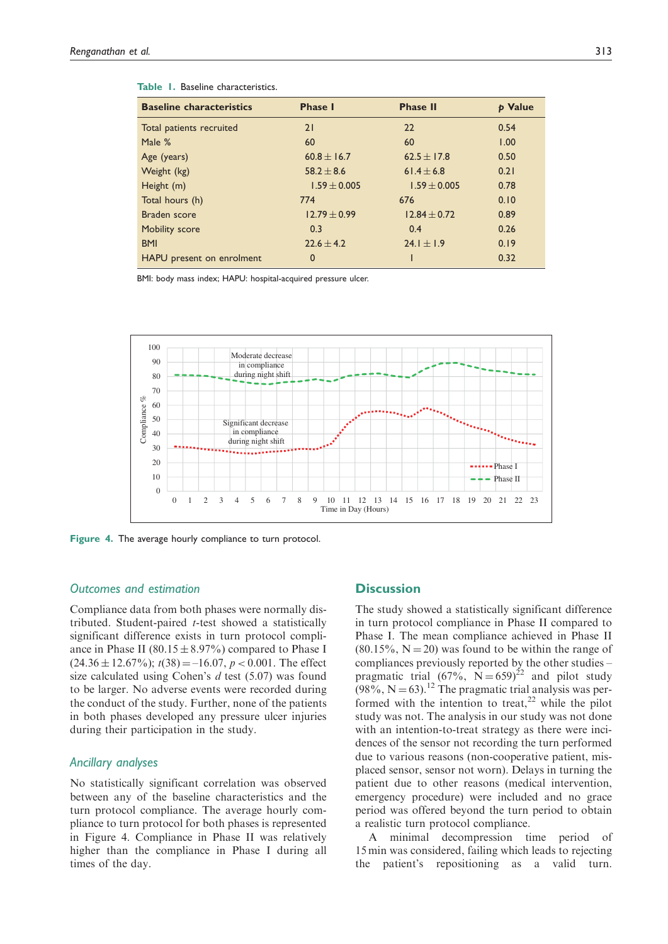| <b>Baseline characteristics</b> | <b>Phase I</b>   | <b>Phase II</b>  | p Value |
|---------------------------------|------------------|------------------|---------|
| Total patients recruited        | 21               | 22               | 0.54    |
| Male %                          | 60               | 60               | 1.00    |
| Age (years)                     | 60.8 $\pm$ 16.7  | 62.5 $\pm$ 17.8  | 0.50    |
| Weight (kg)                     | $58.2 \pm 8.6$   | 61.4 $\pm$ 6.8   | 0.21    |
| Height (m)                      | $1.59 \pm 0.005$ | $1.59 \pm 0.005$ | 0.78    |
| Total hours (h)                 | 774              | 676              | 0.10    |
| <b>Braden</b> score             | $12.79 \pm 0.99$ | $12.84 \pm 0.72$ | 0.89    |
| Mobility score                  | 0.3              | 0.4              | 0.26    |
| <b>BMI</b>                      | $22.6 \pm 4.2$   | $24.1 \pm 1.9$   | 0.19    |
| HAPU present on enrolment       | 0                |                  | 0.32    |

| Table 1. Baseline characteristics. |
|------------------------------------|
|------------------------------------|

BMI: body mass index; HAPU: hospital-acquired pressure ulcer.



Figure 4. The average hourly compliance to turn protocol.

### Outcomes and estimation

Compliance data from both phases were normally distributed. Student-paired t-test showed a statistically significant difference exists in turn protocol compliance in Phase II  $(80.15 \pm 8.97\%)$  compared to Phase I  $(24.36 \pm 12.67\%)$ ;  $t(38) = -16.07$ ,  $p < 0.001$ . The effect size calculated using Cohen's d test (5.07) was found to be larger. No adverse events were recorded during the conduct of the study. Further, none of the patients in both phases developed any pressure ulcer injuries during their participation in the study.

# Ancillary analyses

No statistically significant correlation was observed between any of the baseline characteristics and the turn protocol compliance. The average hourly compliance to turn protocol for both phases is represented in Figure 4. Compliance in Phase II was relatively higher than the compliance in Phase I during all times of the day.

# **Discussion**

The study showed a statistically significant difference in turn protocol compliance in Phase II compared to Phase I. The mean compliance achieved in Phase II  $(80.15\%, N = 20)$  was found to be within the range of compliances previously reported by the other studies – pragmatic trial  $(67\%, N = 659)^{22}$  and pilot study  $(98\%, N = 63).$ <sup>12</sup> The pragmatic trial analysis was performed with the intention to treat,<sup>22</sup> while the pilot study was not. The analysis in our study was not done with an intention-to-treat strategy as there were incidences of the sensor not recording the turn performed due to various reasons (non-cooperative patient, misplaced sensor, sensor not worn). Delays in turning the patient due to other reasons (medical intervention, emergency procedure) were included and no grace period was offered beyond the turn period to obtain a realistic turn protocol compliance.

A minimal decompression time period of 15 min was considered, failing which leads to rejecting the patient's repositioning as a valid turn.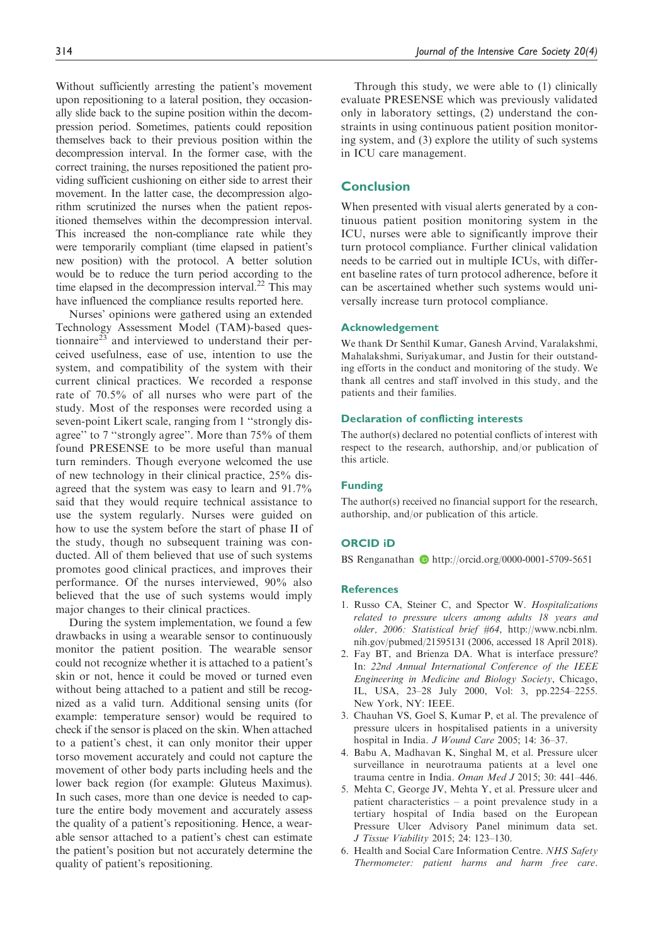Without sufficiently arresting the patient's movement upon repositioning to a lateral position, they occasionally slide back to the supine position within the decompression period. Sometimes, patients could reposition themselves back to their previous position within the decompression interval. In the former case, with the correct training, the nurses repositioned the patient providing sufficient cushioning on either side to arrest their movement. In the latter case, the decompression algorithm scrutinized the nurses when the patient repositioned themselves within the decompression interval. This increased the non-compliance rate while they were temporarily compliant (time elapsed in patient's new position) with the protocol. A better solution would be to reduce the turn period according to the time elapsed in the decompression interval. $^{22}$  This may have influenced the compliance results reported here.

Nurses' opinions were gathered using an extended Technology Assessment Model (TAM)-based questionnaire $^{23}$  and interviewed to understand their perceived usefulness, ease of use, intention to use the system, and compatibility of the system with their current clinical practices. We recorded a response rate of 70.5% of all nurses who were part of the study. Most of the responses were recorded using a seven-point Likert scale, ranging from 1 ''strongly disagree'' to 7 ''strongly agree''. More than 75% of them found PRESENSE to be more useful than manual turn reminders. Though everyone welcomed the use of new technology in their clinical practice, 25% disagreed that the system was easy to learn and 91.7% said that they would require technical assistance to use the system regularly. Nurses were guided on how to use the system before the start of phase II of the study, though no subsequent training was conducted. All of them believed that use of such systems promotes good clinical practices, and improves their performance. Of the nurses interviewed, 90% also believed that the use of such systems would imply major changes to their clinical practices.

During the system implementation, we found a few drawbacks in using a wearable sensor to continuously monitor the patient position. The wearable sensor could not recognize whether it is attached to a patient's skin or not, hence it could be moved or turned even without being attached to a patient and still be recognized as a valid turn. Additional sensing units (for example: temperature sensor) would be required to check if the sensor is placed on the skin. When attached to a patient's chest, it can only monitor their upper torso movement accurately and could not capture the movement of other body parts including heels and the lower back region (for example: Gluteus Maximus). In such cases, more than one device is needed to capture the entire body movement and accurately assess the quality of a patient's repositioning. Hence, a wearable sensor attached to a patient's chest can estimate the patient's position but not accurately determine the quality of patient's repositioning.

Through this study, we were able to (1) clinically evaluate PRESENSE which was previously validated only in laboratory settings, (2) understand the constraints in using continuous patient position monitoring system, and (3) explore the utility of such systems in ICU care management.

# **Conclusion**

When presented with visual alerts generated by a continuous patient position monitoring system in the ICU, nurses were able to significantly improve their turn protocol compliance. Further clinical validation needs to be carried out in multiple ICUs, with different baseline rates of turn protocol adherence, before it can be ascertained whether such systems would universally increase turn protocol compliance.

#### Acknowledgement

We thank Dr Senthil Kumar, Ganesh Arvind, Varalakshmi, Mahalakshmi, Suriyakumar, and Justin for their outstanding efforts in the conduct and monitoring of the study. We thank all centres and staff involved in this study, and the patients and their families.

#### Declaration of conflicting interests

The author(s) declared no potential conflicts of interest with respect to the research, authorship, and/or publication of this article.

#### Funding

The author(s) received no financial support for the research, authorship, and/or publication of this article.

#### ORCID iD

BS Renganathan  $\bullet$  <http://orcid.org/0000-0001-5709-5651>

# **References**

- 1. Russo CA, Steiner C, and Spector W. Hospitalizations related to pressure ulcers among adults 18 years and older, 2006: Statistical brief #64, [http://www.ncbi.nlm.](http://www.ncbi.nlm.nih.gov/pubmed/21595131) [nih.gov/pubmed/21595131](http://www.ncbi.nlm.nih.gov/pubmed/21595131) (2006, accessed 18 April 2018).
- 2. Fay BT, and Brienza DA. What is interface pressure? In: 22nd Annual International Conference of the IEEE Engineering in Medicine and Biology Society, Chicago, IL, USA, 23–28 July 2000, Vol: 3, pp.2254–2255. New York, NY: IEEE.
- 3. Chauhan VS, Goel S, Kumar P, et al. The prevalence of pressure ulcers in hospitalised patients in a university hospital in India. J Wound Care 2005; 14: 36-37.
- 4. Babu A, Madhavan K, Singhal M, et al. Pressure ulcer surveillance in neurotrauma patients at a level one trauma centre in India. Oman Med J 2015; 30: 441–446.
- 5. Mehta C, George JV, Mehta Y, et al. Pressure ulcer and patient characteristics – a point prevalence study in a tertiary hospital of India based on the European Pressure Ulcer Advisory Panel minimum data set. J Tissue Viability 2015; 24: 123–130.
- 6. Health and Social Care Information Centre. NHS Safety Thermometer: patient harms and harm free care.